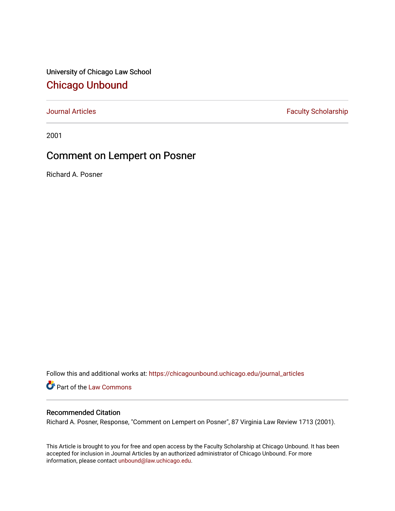University of Chicago Law School [Chicago Unbound](https://chicagounbound.uchicago.edu/)

[Journal Articles](https://chicagounbound.uchicago.edu/journal_articles) **Faculty Scholarship Faculty Scholarship** 

2001

# Comment on Lempert on Posner

Richard A. Posner

Follow this and additional works at: [https://chicagounbound.uchicago.edu/journal\\_articles](https://chicagounbound.uchicago.edu/journal_articles?utm_source=chicagounbound.uchicago.edu%2Fjournal_articles%2F3449&utm_medium=PDF&utm_campaign=PDFCoverPages) 

Part of the [Law Commons](http://network.bepress.com/hgg/discipline/578?utm_source=chicagounbound.uchicago.edu%2Fjournal_articles%2F3449&utm_medium=PDF&utm_campaign=PDFCoverPages)

## Recommended Citation

Richard A. Posner, Response, "Comment on Lempert on Posner", 87 Virginia Law Review 1713 (2001).

This Article is brought to you for free and open access by the Faculty Scholarship at Chicago Unbound. It has been accepted for inclusion in Journal Articles by an authorized administrator of Chicago Unbound. For more information, please contact [unbound@law.uchicago.edu](mailto:unbound@law.uchicago.edu).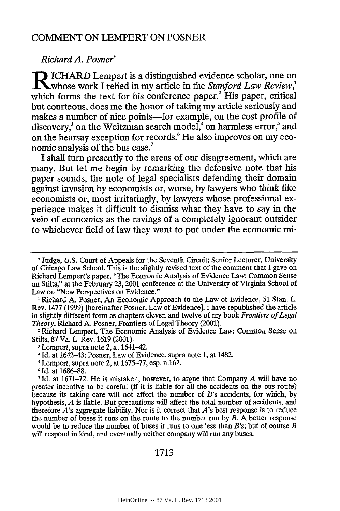## COMMENT ON LEMPERT ON POSNER

### *Richard A. Posner\**

Richard A. 1 osher<br> **R** ICHARD Lempert is a distinguished evidence scholar, one on<br> **R** release model Indied in my extints in the Stanford I am Banjam  $\blacksquare$  whose work I relied in my article in the *Stanford Law Review*, which forms the text for his conference paper.<sup>2</sup> His paper, critical but courteous, does me the honor of taking my article seriously and makes a number of nice points-for example, on the cost profile of discovery,<sup>3</sup> on the Weitzman search model,<sup>4</sup> on harmless error,<sup>5</sup> and on the hearsay exception for records.<sup>6</sup> He also improves on my economic analysis of the bus case.'

I shall turn presently to the areas of our disagreement, which are many. But let me begin by remarking the defensive note that his paper sounds, the note of legal specialists defending their domain against invasion by economists or, worse, by lawyers who think like economists or, most irritatingly, by lawyers whose professional experience makes it difficult to dismiss what they have to say in the vein of economics as the ravings of a completely ignorant outsider to whichever field of law they want to put under the economic mi-

**I** Richard A. Posner, An Economic Approach to the Law of Evidence, 51 Stan. L. Rev. 1477 (1999) [hereinafter Posner, Law of Evidence]. I have republished the article in slightly different form as chapters eleven and twelve of my book *Frontiers of Legal*

<sup>2</sup> Richard Lenipert, The Economic Analysis of Evidence Law: Common Sense on Stilts, 87 Va. L. Rev. 1619 (2001).

**1** Lempert, supra note 2, at 1675-77, esp. n.162.

#### 1713

**<sup>\*</sup>** Judge, U.S. Court of Appeals for the Seventh Circuit; Senior Lecturer, University of Chicago Law School. This is the slightly revised text of the comment that I gave on Richard Lempert's paper, "The Economic Analysis of Evidence Law: Common Sense on Stilts," at the February **23,2001** conference at the University of Virginia School of Law on "New Perspectives on Evidence."

**<sup>-</sup>** Lempert, supra note 2, at 1641-42. 4 Id. at 1642-43; Posner, Law of Evidence, supra note **1,** at 1482.

**<sup>6</sup>** *Id.* at 1686-88.

**<sup>7</sup> Id.** at 1671-72. He is mistaken, however, to argue that Company *A* will have no greater incentive to be careful (if it is liable for all the accidents on the bus route) because its taking care will not affect the number of *B's* accidents, for which, by hypothesis, *A* is liable. But precautions will affect the total number of accidents, and therefore *A's* aggregate liability. Nor is it correct that *A's* best response is to reduce the number of buses it runs on the route to the number run by *B.* **A** better response would be to reduce the number of buses it runs to one less than B's; but of course *B* will respond in kind, and eventually neither company will run any buses.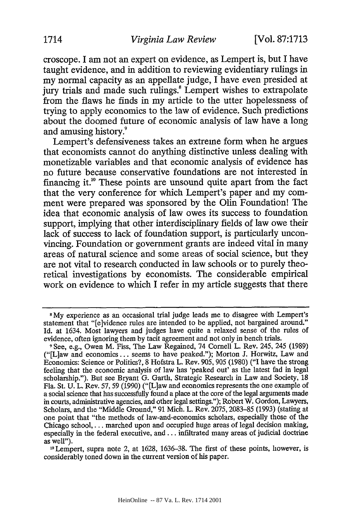croscope. I am not an expert on evidence, as Lempert is, but I have taught evidence, and in addition to reviewing evidentiary rulings in my normal capacity as an appellate judge, I have even presided at jury trials and made such rulings.<sup>8</sup> Lempert wishes to extrapolate from the flaws he finds in my article to the utter hopelessness of trying to apply economics to the law of evidence. Such predictions about the doomed future of economic analysis of law have a long and amusing history

Lempert's defensiveness takes an extreme form when he argues that economists cannot do anything distinctive unless dealing with monetizable variables and that economic analysis of evidence has no future because conservative foundations are not interested in financing it.<sup>10</sup> These points are unsound quite apart from the fact that the very conference for which Lempert's paper and my comment were prepared was sponsored by the Olin Foundation! The idea that economic analysis of law owes its success to foundation support, implying that other interdisciplinary fields of law owe their lack of success to lack of foundation support, is particularly unconvincing. Foundation or government grants are indeed vital in many areas of natural science and some areas of social science, but they are not vital to research conducted in law schools or to purely theoretical investigations by economists. The considerable empirical work on evidence to which I refer in my article suggests that there

**<sup>8</sup>** My experience as an occasional trial judge leads me to disagree with Lempert's statement that "[e]vidence rules are intended to be applied, not bargained around." Id. at 1634. Most lawyers and judges have quite a relaxed sense of the rules of evidence, often ignoring them by tacit agreement and not only in bench trials.

**<sup>9</sup>** See, e.g., Owen M. Fiss, The Law Regained, 74 Cornell L. Rev. 245, 245 (1989) ("[L]aw and economics **...** seems to have peaked."); Morton J. Horwitz, Law and Economics: Science or Politics?, 8 Hofstra L. Rev. 905, 905 (1980) ("I have the strong feeling that the economic analysis of law has 'peaked out' as the latest fad in legal scholarship."). But see Bryant G. Garth, Strategic Research in Law and Society, 18 Fla. St. U. L. Rev. 57,59 (1990) ("[L]aw and economics represents the one example of a social science that has successfully found a place at the core of the legal arguments made in courts, administrative agencies, and other legal settings."); Robert W. Gordon, Lawyers, Scholars, and the "Middle Ground," 91 Mich. L. Rev. 2075,2083-85 (1993) (stating at one point that "the methods of law-and-economics scholars, especially those of the Chicago school.... marched upon and occupied huge areas of legal decision making, especially in the federal executive, and... infiltrated many areas of judicial doctrine as well").

<sup>&</sup>lt;sup>10</sup> Lempert, supra note 2, at 1628, 1636-38. The first of these points, however, is considerably toned down in the current version of his paper.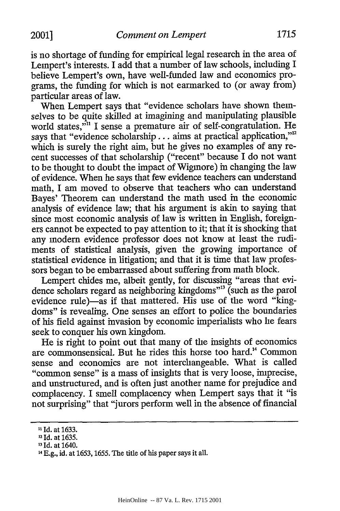is no shortage of funding for empirical legal research in the area of Lempert's interests. I add that a number of law schools, including I believe Lempert's own, have well-funded law and economics programs, the funding for which is not earmarked to (or away from) particular areas of law.

When Lempert says that "evidence scholars have shown themselves to be quite skilled at imagining and manipulating plausible world states,<sup>""</sup> I sense a premature air of self-congratulation. He says that "evidence scholarship... aims at practical application,"<sup>12</sup> which is surely the right aim, but he gives no examples of any recent successes of that scholarship ("recent" because I do not want to be thought to doubt the impact of Wigmore) in changing the law of evidence. When he says that few evidence teachers can understand math, I am moved to observe that teachers who can understand Bayes' Theorem can understand the math used in the economic analysis of evidence law; that his argument is akin to saying that since most economic analysis of law is written in English, foreigners cannot be expected to pay attention to it; that it is shocking that any modem evidence professor does not know at least the rudiments of statistical analysis, given the growing importance of statistical evidence in litigation; and that it is time that law professors began to be embarrassed about suffering from math block.

Lempert chides me, albeit gently, for discussing "areas that evidence scholars regard as neighboring kingdoms"<sup>3</sup> (such as the parol evidence rule)—as if that mattered. His use of the word "kingdoms" is revealing. One senses an effort to police the boundaries of his field against invasion by economic imperialists who he fears seek to conquer his own kingdom.

He is right to point out that many of the insights of economics are commonsensical. But he rides this horse too hard."4 Common sense and economics are not interchangeable. What is called "common sense" is a mass of insights that is very loose, imprecise, and unstructured, and is often just another name for prejudice and complacency. I smell complacency when Lempert says that it "is not surprising" that "jurors perform well in the absence of financial

**<sup>11</sup>** Id. at 1633.

**<sup>12</sup>**Id. at 1635.

<sup>&</sup>lt;sup>13</sup> Id. at 1640.

<sup>1</sup> 4 E.g., id. at 1653, 1655. The title of his paper says it all.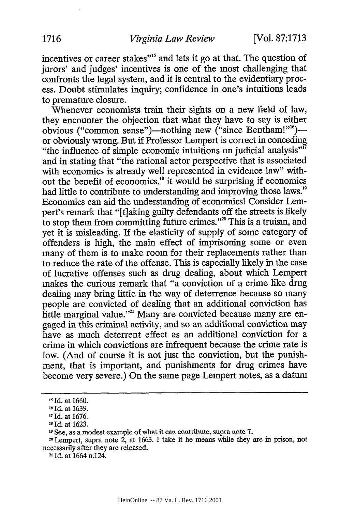incentives or career stakes"<sup>15</sup> and lets it go at that. The question of jurors' and judges' incentives is one of the most challenging that confronts the legal system, and it is central to the evidentiary process. Doubt stimulates inquiry; confidence in one's intuitions leads to premature closure.

Whenever economists train their sights on a new field of law, they encounter the objection that what they have to say is either obvious ("common sense")—nothing new ("since Bentham!"<sup>16</sup>) or obviously wrong. But if Professor Lempert is correct in conceding "the influence of simple economic intuitions on judicial analysis"<sup>17</sup> and in stating that "the rational actor perspective that is associated with economics is already well represented in evidence law" without the benefit of economics,<sup>18</sup> it would be surprising if economics had little to contribute to understanding and improving those laws.<sup>19</sup> Economics can aid the understanding of economics! Consider Lempert's remark that "[t]aking guilty defendants off the streets is likely to stop them from committing future crimes."<sup>20</sup> This is a truism, and yet it is misleading. If the elasticity of supply of some category of offenders is high, the main effect of imprisoning some or even many of them is to make room for their replacements rather than to reduce the rate of the offense. This is especially likely in the case of lucrative offenses such as drug dealing, about which Lempert makes the curious remark that "a conviction of a crime like drug dealing may bring little in the way of deterrence because so many people are convicted of dealing that an additional conviction has hittle marginal value."<sup>21</sup> Many are convicted because many are engaged in this criminal activity, and so an additional conviction may have as much deterrent effect as an additional conviction for a crime in which convictions are infrequent because the crime rate is low. (And of course it is not just the conviction, but the punishment, that is important, and punishments for drug crimes have become very severe.) On the same page Lempert notes, as a datum

**<sup>21</sup>**Id. at 1664 n.124.

<sup>&</sup>lt;sup>15</sup> Id. at 1660.

**<sup>16</sup>** Id. at 1639.

**<sup>11</sup>** Id. at 1676.

**is** Id. at 1623.

**<sup>19</sup>**See, as a modest example of what it can contribute, supra note 7.

**<sup>20</sup>** Lempert, supra note 2, at 1663. I take it he means while they are in prison, not necessarily after they are released.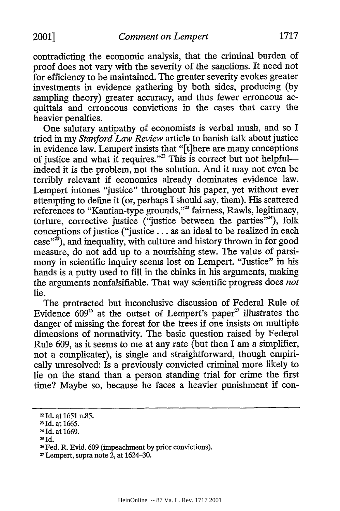contradicting the economic analysis, that the criminal burden of proof does not vary with the severity of the sanctions. It need not for efficiency to be maintained. The greater severity evokes greater investments in evidence gathering by both sides, producing (by sampling theory) greater accuracy, and thus fewer erroneous acquittals and erroneous convictions in the cases that carry the heavier penalties.

One salutary antipathy of economists is verbal mush, and so I tried in my *Stanford Law Review* article to banish talk about justice in evidence law. Lempert insists that "[t]here are many conceptions of justice and what it requires."<sup>2</sup> This is correct but not helpful-indeed it is the problem, not the solution. And it may not even be terribly relevant if economics already dominates evidence law. Lempert intones "justice" throughout his paper, yet without ever attempting to define it (or, perhaps I should say, them). His scattered references to "Kantian-type grounds,"<sup>23</sup> fairness, Rawls, legitimacy, torture, corrective justice ("justice between the parties"<sup>24</sup>), folk conceptions of justice ("justice... as an ideal to be realized in each case"<sup>23</sup>), and inequality, with culture and history thrown in for good measure, do not add up to a nourishing stew. The value of parsimony in scientific inquiry seems lost on Lempert. "Justice" in his hands is a putty used to fill in the chinks in his arguments, making the arguments nonfalsifiable. That way scientific progress does *not* lie.

The protracted but inconclusive discussion of Federal Rule of Evidence  $609^{26}$  at the outset of Lempert's paper<sup>27</sup> illustrates the danger of missing the forest for the trees if one insists on multiple dimensions of normativity. The basic question raised by Federal Rule 609, as it seems to me at any rate (but then I am a simplifier, not a complicater), is single and straightforward, though empirically unresolved: Is a previously convicted criminal more likely to lie on the stand than a person standing trial for crime the first time? Maybe so, because he faces a heavier punishment if con-

<sup>2</sup> Id. at 1651 n.85.

**<sup>2</sup>**Id. at 1665.

**<sup>24</sup>**Id. at 1669.

<sup>25</sup> Id.

<sup>&</sup>lt;sup>26</sup> Fed. R. Evid. 609 (impeachment by prior convictions).<br><sup>27</sup> Lempert, supra note 2, at 1624–30.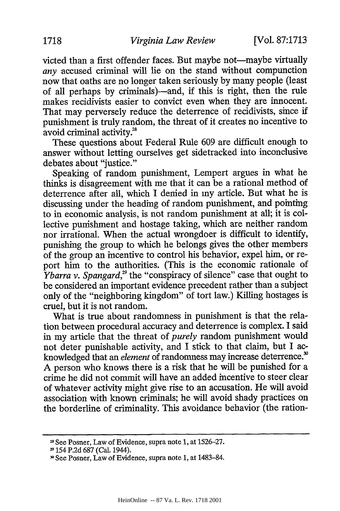victed than a first offender faces. But maybe not-maybe virtually *any* accused criminal will lie on the stand without compunction now that oaths are no longer taken seriously by many people (least of all perhaps by criminals)-and, if this is right, then the rule makes recidivists easier to convict even when they are innocent. That may perversely reduce the deterrence of recidivists, since if punishment is truly random, the threat of it creates no incentive to avoid criminal activity.<sup>28</sup>

These questions about Federal Rule 609 are difficult enough to answer without letting ourselves get sidetracked into inconclusive debates about "justice."

Speaking of random punishment, Lempert argues in what he thinks is disagreement with me that it can be a rational method of deterrence after all, which I denied in my article. But what he is discussing under the heading of random punishment, and pointing to in economic analysis, is not random punishment at all; it is collective punishment and hostage taking, which are neither random nor irrational. When the actual wrongdoer is difficult to identify, punishing the group to which he belongs gives the other members of the group an incentive to control his behavior, expel him, or report him to the authorities. (This is the economic rationale of *Ybarra v. Spangard*,<sup>29</sup> the "conspiracy of silence" case that ought to be considered an important evidence precedent rather than a subject only of the "neighboring kingdom" of tort law.) Killing hostages is cruel, but it is not random.

What is true about randomness in punishment is that the relation between procedural accuracy and deterrence is complex. I said in my article that the threat of *purely* random punishment would not deter punishable activity, and I stick to that claim, but I acknowledged that an *element* of randomness may increase deterrence.' A person who knows there is a risk that he will be punished for a crime he did not commit will have an added incentive to steer clear of whatever activity might give rise to an accusation. He will avoid association with known criminals; he will avoid shady practices on the borderline of criminality. This avoidance behavior (the ration-

<sup>&</sup>lt;sup>28</sup> See Posner, Law of Evidence, supra note 1, at 1526–27.

**<sup>2</sup>**154 P.2d 687 (Cal. 1944).

**<sup>3</sup>**See Posner, Law of Evidence, supra note 1, at 1483-84.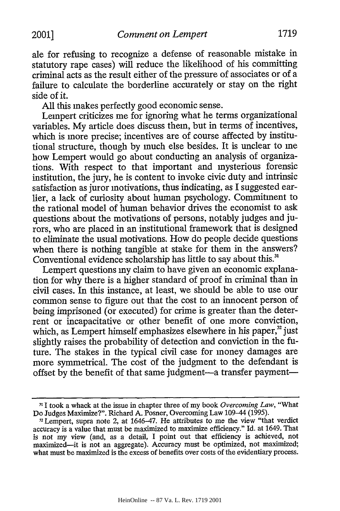ale for refusing to recognize a defense of reasonable mistake in statutory rape cases) will reduce the likelihood of his committing criminal acts as the result either of the pressure of associates or of a failure to calculate the borderline accurately or stay on the right side of it.

All this makes perfectly good economic sense.

Lempert criticizes me for ignoring what he terms organizational variables. My article does discuss them, but in terms of incentives, which is more precise; incentives are of course affected by institutional structure, though by much else besides. It is unclear to me how Lempert would go about conducting an analysis of organizations. With respect to that important and mysterious forensic institution, the jury, he is content to invoke civic duty and intrinsic satisfaction as juror motivations, thus indicating, as I suggested earlier, a lack of curiosity about human psychology. Commitment to the rational model of human behavior drives the economist to ask questions about the motivations of persons, notably judges and jurors, who are placed in an institutional framework that is designed to eliminate the usual motivations. How do people decide questions when there is nothing tangible at stake for them in the answers? Conventional evidence scholarship has little to say about this.<sup>31</sup>

Lempert questions my claim to have given an economic explanation for why there is a higher standard of proof in criminal than in civil cases. In this instance, at least, we should be able to use our common sense to figure out that the cost to an innocent person of being imprisoned (or executed) for crime is greater than the deterrent or incapacitative or other benefit of one more conviction, which, as Lempert himself emphasizes elsewhere in his paper, $<sup>32</sup>$  just</sup> slightly raises the probability of detection and conviction in the future. The stakes in the typical civil case for money damages are more symmetrical. The cost of the judgment to the defendant is offset by the benefit of that same judgment-a transfer payment-

**<sup>-&</sup>quot; I** took a whack at the issue in chapter three of my book *Overcoming Law,* "What

Do Judges Maximize?". Richard A. Posner, Overcoming Law 109-44 (1995).<br><sup>32</sup> Lempert, supra note 2, at 1646-47. He attributes to me the view "that verdict accuracy is a value that must be maximized to maximize efficiency." Id. at 1649. That *is* not my view (and, as a detail, I point out that efficiency is achieved, not maximized-it is not an aggregate). Accuracy must be optimized, not maximized; what must be maximized is the excess of benefits over costs of the evidentiary process.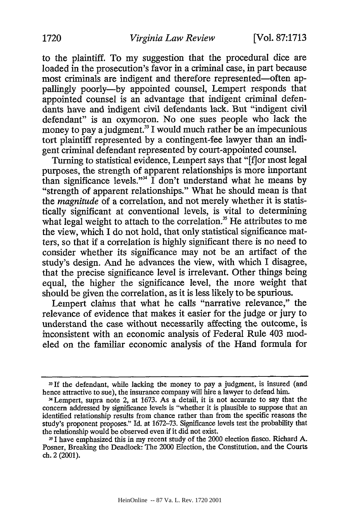to the plaintiff. To my suggestion that the procedural dice are loaded in the prosecution's favor in a criminal case, in part because most criminals are indigent and therefore represented-often appallingly poorly-by appointed counsel, Lempert responds that appointed counsel is an advantage that indigent criminal defendants have and indigent civil defendants lack. But "indigent civil defendant" is an oxymoron. No one sues people who lack the money to pay a judgment.<sup>33</sup> I would much rather be an impecunious tort plaintiff represented by a contingent-fee lawyer than an indigent criminal defendant represented by court-appointed counsel.

Turning to statistical evidence, Lempert says that "[fjor most legal purposes, the strength of apparent relationships is more important than significance levels."<sup>34</sup> I don't understand what he means by "strength of apparent relationships." What he should mean is that the *magnitude* of a correlation, and not merely whether it is statistically significant at conventional levels, is vital to determining what legal weight to attach to the correlation.<sup>35</sup> He attributes to me the view, which I do not hold, that only statistical significance matters, so that if a correlation is highly significant there is no need to consider whether its significance may not be an artifact of the study's design. And he advances the view, with which I disagree, that the precise significance level is irrelevant. Other things being equal, the higher the significance level, the more weight that should be given the correlation, as it is less likely to be spurious.

Lempert claims that what he calls "narrative relevance," the relevance of evidence that makes it easier for the judge or jury to understand the case without necessarily affecting the outcome, is inconsistent with an economic analysis of Federal Rule 403 modeled on the familiar economic analysis of the Hand formula for

**<sup>3</sup>If** the defendant, while lacking the money to pay a judgment, is insured (and hence attractive to sue), the insurance company will hire a lawyer to defend him.

<sup>34</sup>Lempert, supra note 2, at 1673. As a detail, it is not accurate to say that the concern addressed by significance levels is "whether it is plausible to suppose that an identified relationship results from chance rather than from the specific reasons the study's proponent proposes." Id. at 1672-73. Significance levels test the probability that the relationship would be observed even if it did not exist.

<sup>351</sup> have emphasized this in my recent study of the 2000 election fiasco. Richard A. Posner, Breaking the Deadlock: The 2000 Election, the Constitution, and the Courts ch. 2 (2001).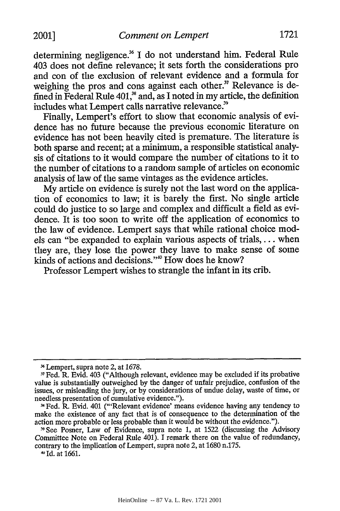determining negligence.<sup>36</sup> I do not understand him. Federal Rule 403 does not define relevance; it sets forth the considerations pro and con of the exclusion of relevant evidence and a formula for weighing the pros and cons against each other.<sup>37</sup> Relevance is defined in Federal Rule 401,<sup>38</sup> and, as I noted in my article, the definition includes what Lempert calls narrative relevance.<sup>39</sup>

Finally, Lempert's effort to show that economic analysis of evidence has no future because the previous economic literature on evidence has not been heavily cited is premature. The literature is both sparse and recent; at a minimum, a responsible statistical analysis of citations to it would compare the number of citations to it to the number of citations to a random sample of articles on economic analysis of law of the same vintages as the evidence articles.

My article on evidence is surely not the last word on the application of economics to law; it is barely the first. No single article could do justice to so large and complex and difficult a field as evidence. It is too soon to write off the application of economics to the law of evidence. Lempert says that while rational choice models can "be expanded to explain various aspects of trials,... when they are, they lose the power they have to make sense of some kinds of actions and decisions."<sup>40</sup> How does he know?

Professor Lempert wishes to strangle the infant in its crib.

Id. at 1661.

**<sup>6</sup>**Lempert, supra note 2, at 1678.

Fed. R. Evid. 403 ("Although relevant, evidence may be excluded if its probative value is substantially outweighed by the danger of unfair prejudice, confusion of the issues, or misleading the jury, or by considerations of undue delay, waste of time, or needless presentation of cumulative evidence.").

Fed. R. Evid. 401 ("'Relevant evidence' means evidence having any tendency to make the existence of any fact that is of consequence to the determination of the action more probable or less probable than it would be without the evidence.").

**<sup>&</sup>quot;** See Posner, Law of Evidence, supra note 1, at 1522 (discussing the Advisory Committee Note on Federal Rule 401). I remark there on the value of redundancy, contrary to the implication of Lempert, supra note 2, at 1680 n.175.